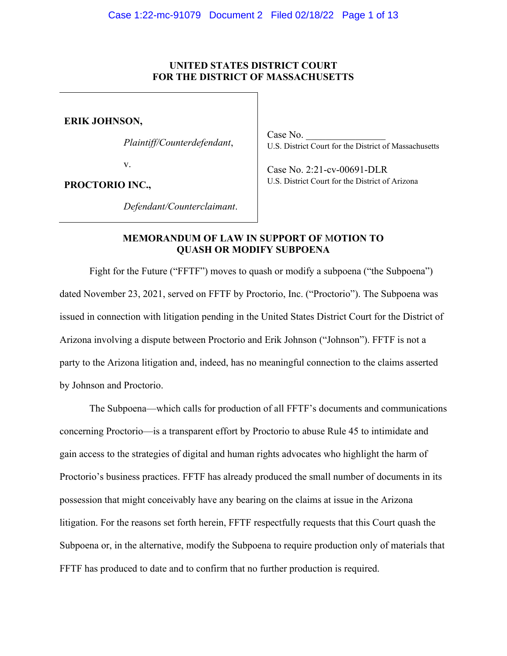# **UNITED STATES DISTRICT COURT FOR THE DISTRICT OF MASSACHUSETTS**

**ERIK JOHNSON,**

*Plaintiff/Counterdefendant*,

v.

**PROCTORIO INC.,**

Case No. U.S. District Court for the District of Massachusetts

 Case No. 2:21-cv-00691-DLR U.S. District Court for the District of Arizona

*Defendant/Counterclaimant*.

# **MEMORANDUM OF LAW IN SUPPORT OF** M**OTION TO QUASH OR MODIFY SUBPOENA**

Fight for the Future ("FFTF") moves to quash or modify a subpoena ("the Subpoena") dated November 23, 2021, served on FFTF by Proctorio, Inc. ("Proctorio"). The Subpoena was issued in connection with litigation pending in the United States District Court for the District of Arizona involving a dispute between Proctorio and Erik Johnson ("Johnson"). FFTF is not a party to the Arizona litigation and, indeed, has no meaningful connection to the claims asserted by Johnson and Proctorio.

The Subpoena—which calls for production of all FFTF's documents and communications concerning Proctorio—is a transparent effort by Proctorio to abuse Rule 45 to intimidate and gain access to the strategies of digital and human rights advocates who highlight the harm of Proctorio's business practices. FFTF has already produced the small number of documents in its possession that might conceivably have any bearing on the claims at issue in the Arizona litigation. For the reasons set forth herein, FFTF respectfully requests that this Court quash the Subpoena or, in the alternative, modify the Subpoena to require production only of materials that FFTF has produced to date and to confirm that no further production is required.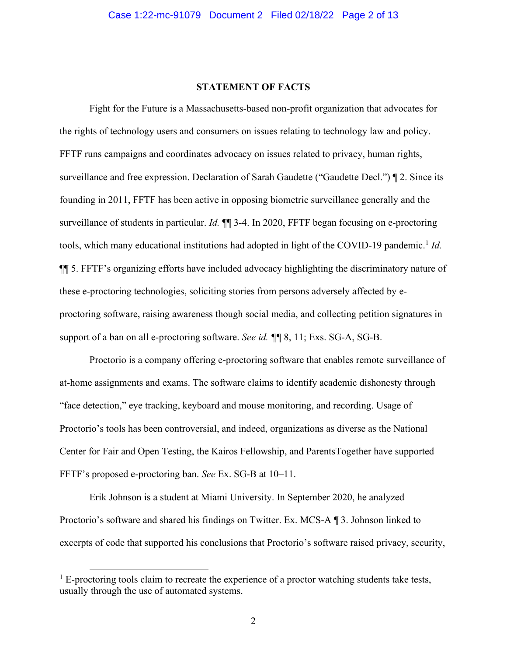# **STATEMENT OF FACTS**

Fight for the Future is a Massachusetts-based non-profit organization that advocates for the rights of technology users and consumers on issues relating to technology law and policy. FFTF runs campaigns and coordinates advocacy on issues related to privacy, human rights, surveillance and free expression. Declaration of Sarah Gaudette ("Gaudette Decl.")  $\P$  2. Since its founding in 2011, FFTF has been active in opposing biometric surveillance generally and the surveillance of students in particular. *Id.*  $\P$  3-4. In 2020, FFTF began focusing on e-proctoring tools, which many educational institutions had adopted in light of the COVID-19 pandemic. <sup>1</sup> *Id.*  $\P$  5. FFTF's organizing efforts have included advocacy highlighting the discriminatory nature of these e-proctoring technologies, soliciting stories from persons adversely affected by eproctoring software, raising awareness though social media, and collecting petition signatures in support of a ban on all e-proctoring software. *See id. ¶¶* 8, 11; Exs. SG-A, SG-B.

Proctorio is a company offering e-proctoring software that enables remote surveillance of at-home assignments and exams. The software claims to identify academic dishonesty through "face detection," eye tracking, keyboard and mouse monitoring, and recording. Usage of Proctorio's tools has been controversial, and indeed, organizations as diverse as the National Center for Fair and Open Testing, the Kairos Fellowship, and ParentsTogether have supported FFTF's proposed e-proctoring ban. *See* Ex. SG-B at 10–11.

Erik Johnson is a student at Miami University. In September 2020, he analyzed Proctorio's software and shared his findings on Twitter. Ex. MCS-A  $\P$  3. Johnson linked to excerpts of code that supported his conclusions that Proctorio's software raised privacy, security,

 $1 \text{ E-proctoring tools claim to recreate the experience of a proton watching students take tests,}$ usually through the use of automated systems.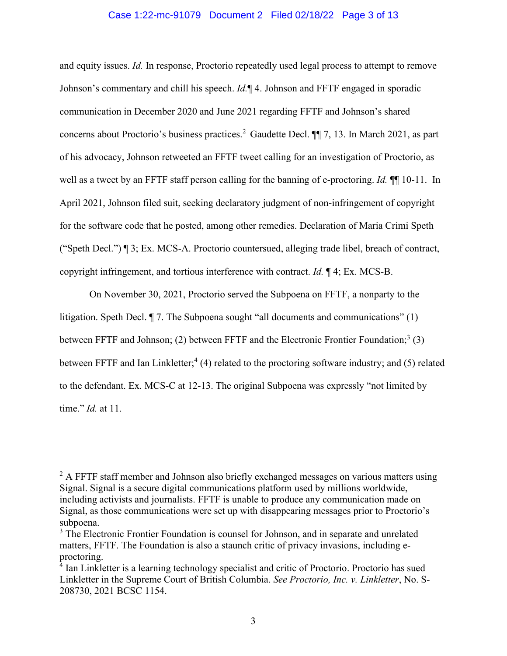## Case 1:22-mc-91079 Document 2 Filed 02/18/22 Page 3 of 13

and equity issues. *Id.* In response, Proctorio repeatedly used legal process to attempt to remove Johnson's commentary and chill his speech. *Id*. **1** 4. Johnson and FFTF engaged in sporadic communication in December 2020 and June 2021 regarding FFTF and Johnson's shared concerns about Proctorio's business practices.<sup>2</sup> Gaudette Decl.  $\P$  7, 13. In March 2021, as part of his advocacy, Johnson retweeted an FFTF tweet calling for an investigation of Proctorio, as well as a tweet by an FFTF staff person calling for the banning of e-proctoring. *Id.* ¶¶ 10-11. In April 2021, Johnson filed suit, seeking declaratory judgment of non-infringement of copyright for the software code that he posted, among other remedies. Declaration of Maria Crimi Speth ("Speth Decl.")  $\P$  3; Ex. MCS-A. Proctorio countersued, alleging trade libel, breach of contract, copyright infringement, and tortious interference with contract. *Id.* ¶ 4; Ex. MCS-B.

On November 30, 2021, Proctorio served the Subpoena on FFTF, a nonparty to the litigation. Speth Decl.  $\P$  7. The Subpoena sought "all documents and communications" (1) between FFTF and Johnson; (2) between FFTF and the Electronic Frontier Foundation;<sup>3</sup> (3) between FFTF and Ian Linkletter;<sup>4</sup> (4) related to the proctoring software industry; and (5) related to the defendant. Ex. MCS-C at  $12-13$ . The original Subpoena was expressly "not limited by time." *Id.* at 11.

<sup>&</sup>lt;sup>2</sup> A FFTF staff member and Johnson also briefly exchanged messages on various matters using Signal. Signal is a secure digital communications platform used by millions worldwide, including activists and journalists. FFTF is unable to produce any communication made on Signal, as those communications were set up with disappearing messages prior to Proctorio's subpoena.

<sup>&</sup>lt;sup>3</sup> The Electronic Frontier Foundation is counsel for Johnson, and in separate and unrelated matters, FFTF. The Foundation is also a staunch critic of privacy invasions, including eproctoring.

<sup>&</sup>lt;sup>4</sup> Ian Linkletter is a learning technology specialist and critic of Proctorio. Proctorio has sued Linkletter in the Supreme Court of British Columbia. *See Proctorio, Inc. v. Linkletter*, No. S-208730, 2021 BCSC 1154.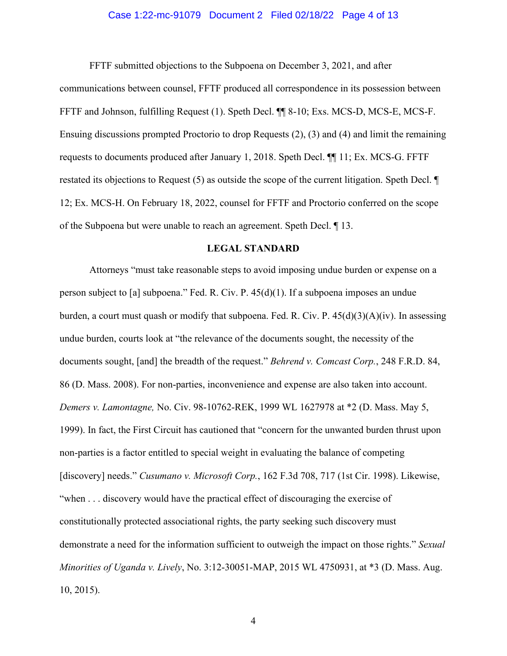## Case 1:22-mc-91079 Document 2 Filed 02/18/22 Page 4 of 13

FFTF submitted objections to the Subpoena on December 3, 2021, and after

communications between counsel, FFTF produced all correspondence in its possession between FFTF and Johnson, fulfilling Request (1). Speth Decl. ¶¶ 8-10; Exs. MCS-D, MCS-E, MCS-F. Ensuing discussions prompted Proctorio to drop Requests (2), (3) and (4) and limit the remaining requests to documents produced after January 1, 2018. Speth Decl. ¶¶ 11; Ex. MCS-G. FFTF restated its objections to Request (5) as outside the scope of the current litigation. Speth Decl. ¶ 12; Ex. MCS-H. On February 18, 2022, counsel for FFTF and Proctorio conferred on the scope of the Subpoena but were unable to reach an agreement. Speth Decl. ¶ 13.

### **LEGAL STANDARD**

Attorneys "must take reasonable steps to avoid imposing undue burden or expense on a person subject to [a] subpoena." Fed. R. Civ. P.  $45(d)(1)$ . If a subpoena imposes an undue burden, a court must quash or modify that subpoena. Fed. R. Civ. P. 45(d)(3)(A)(iv). In assessing undue burden, courts look at "the relevance of the documents sought, the necessity of the documents sought, [and] the breadth of the request.´ *Behrend v. Comcast Corp.*, 248 F.R.D. 84, 86 (D. Mass. 2008). For non-parties, inconvenience and expense are also taken into account. *Demers v. Lamontagne,* No. Civ. 98-10762-REK, 1999 WL 1627978 at \*2 (D. Mass. May 5, 1999). In fact, the First Circuit has cautioned that "concern for the unwanted burden thrust upon non-parties is a factor entitled to special weight in evaluating the balance of competing [discovery] needs." *Cusumano v. Microsoft Corp.*, 162 F.3d 708, 717 (1st Cir. 1998). Likewise, "when . . . discovery would have the practical effect of discouraging the exercise of constitutionally protected associational rights, the party seeking such discovery must demonstrate a need for the information sufficient to outweigh the impact on those rights." *Sexual Minorities of Uganda v. Lively*, No. 3:12-30051-MAP, 2015 WL 4750931, at \*3 (D. Mass. Aug. 10, 2015).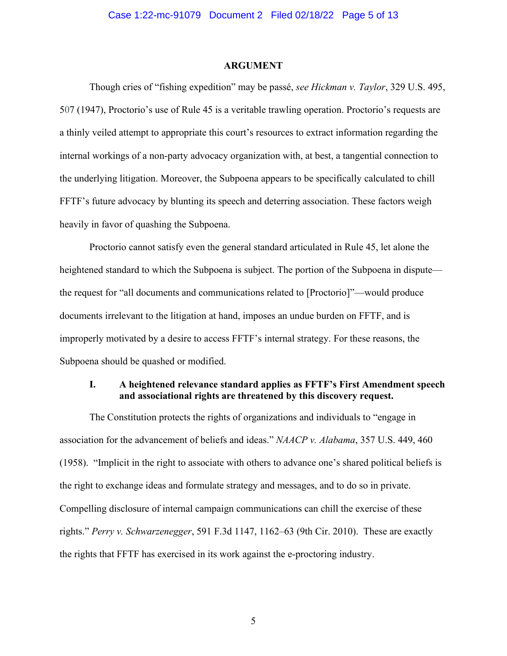## **ARGUMENT**

Though cries of "fishing expedition" may be passé, *see Hickman v. Taylor*, 329 U.S. 495, 507 (1947), Proctorio's use of Rule 45 is a veritable trawling operation. Proctorio's requests are a thinly veiled attempt to appropriate this court's resources to extract information regarding the internal workings of a non-party advocacy organization with, at best, a tangential connection to the underlying litigation. Moreover, the Subpoena appears to be specifically calculated to chill FFTF's future advocacy by blunting its speech and deterring association. These factors weigh heavily in favor of quashing the Subpoena.

Proctorio cannot satisfy even the general standard articulated in Rule 45, let alone the heightened standard to which the Subpoena is subject. The portion of the Subpoena in dispute the request for "all documents and communications related to [Proctorio]"—would produce documents irrelevant to the litigation at hand, imposes an undue burden on FFTF, and is improperly motivated by a desire to access FFTF's internal strategy. For these reasons, the Subpoena should be quashed or modified.

# **I.** A heightened relevance standard applies as FFTF's First Amendment speech **Amendment** speech **and associational rights are threatened by this discovery request.**

The Constitution protects the rights of organizations and individuals to "engage in association for the advancement of beliefs and ideas´*NAACP v. Alabama*, 357 U.S. 449, 460  $(1958)$ . "Implicit in the right to associate with others to advance one's shared political beliefs is the right to exchange ideas and formulate strategy and messages, and to do so in private. Compelling disclosure of internal campaign communications can chill the exercise of these rights." *Perry v. Schwarzenegger*, 591 F.3d 1147, 1162–63 (9th Cir. 2010). These are exactly the rights that FFTF has exercised in its work against the e-proctoring industry.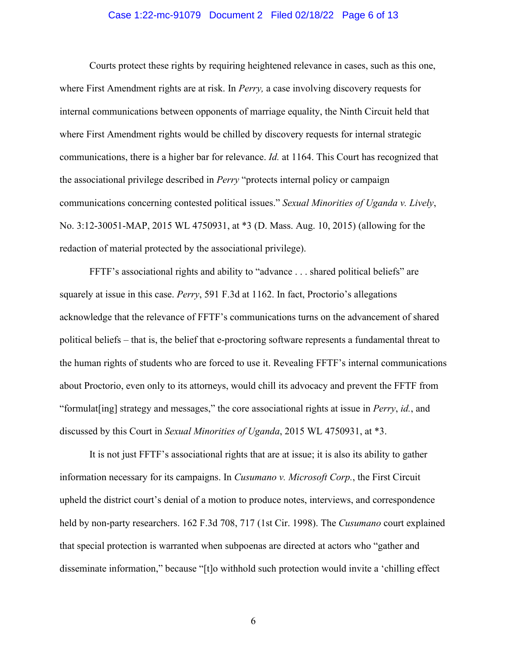## Case 1:22-mc-91079 Document 2 Filed 02/18/22 Page 6 of 13

Courts protect these rights by requiring heightened relevance in cases, such as this one, where First Amendment rights are at risk. In *Perry,* a case involving discovery requests for internal communications between opponents of marriage equality, the Ninth Circuit held that where First Amendment rights would be chilled by discovery requests for internal strategic communications, there is a higher bar for relevance. *Id.* at 1164. This Court has recognized that the associational privilege described in *Perry* "protects internal policy or campaign communications concerning contested political issues." *Sexual Minorities of Uganda v. Lively*, No. 3:12-30051-MAP, 2015 WL 4750931, at \*3 (D. Mass. Aug. 10, 2015) (allowing for the redaction of material protected by the associational privilege).

FFTF's associational rights and ability to "advance . . . shared political beliefs" are squarely at issue in this case. *Perry*, 591 F.3d at 1162. In fact, Proctorio's allegations acknowledge that the relevance of FFTF's communications turns on the advancement of shared political beliefs – that is, the belief that e-proctoring software represents a fundamental threat to the human rights of students who are forced to use it. Revealing FFTF's internal communications about Proctorio, even only to its attorneys, would chill its advocacy and prevent the FFTF from "formulat [ing] strategy and messages," the core associational rights at issue in *Perry, id.*, and discussed by this Court in *Sexual Minorities of Uganda*, 2015 WL 4750931, at \*3.

It is not just FFTF's associational rights that are at issue; it is also its ability to gather information necessary for its campaigns. In *Cusumano v. Microsoft Corp.*, the First Circuit upheld the district court's denial of a motion to produce notes, interviews, and correspondence held by non-party researchers. 162 F.3d 708, 717 (1st Cir. 1998). The *Cusumano* court explained that special protection is warranted when subpoenas are directed at actors who "gather and disseminate information," because "[t]o withhold such protection would invite a 'chilling effect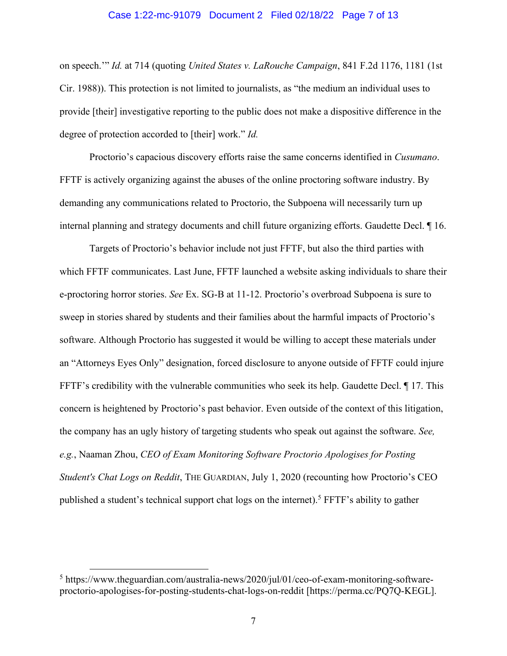### Case 1:22-mc-91079 Document 2 Filed 02/18/22 Page 7 of 13

on speech." *Id.* at 714 (quoting *United States v. LaRouche Campaign*, 841 F.2d 1176, 1181 (1st) Cir. 1988)). This protection is not limited to journalists, as "the medium an individual uses to provide [their] investigative reporting to the public does not make a dispositive difference in the degree of protection accorded to [their] work." *Id.* 

Proctorio's capacious discovery efforts raise the same concerns identified in *Cusumano*. FFTF is actively organizing against the abuses of the online proctoring software industry. By demanding any communications related to Proctorio, the Subpoena will necessarily turn up internal planning and strategy documents and chill future organizing efforts. Gaudette Decl. ¶ 16.

Targets of Proctorio's behavior include not just FFTF, but also the third parties with which FFTF communicates. Last June, FFTF launched a website asking individuals to share their e-proctoring horror stories. *See* Ex. SG-B at 11-12. Proctorio's overbroad Subpoena is sure to sweep in stories shared by students and their families about the harmful impacts of Proctorio's software. Although Proctorio has suggested it would be willing to accept these materials under an "Attorneys Eyes Only" designation, forced disclosure to anyone outside of FFTF could injure FFTF's credibility with the vulnerable communities who seek its help. Gaudette Decl.  $\parallel$  17. This concern is heightened by Proctorio's past behavior. Even outside of the context of this litigation, the company has an ugly history of targeting students who speak out against the software. *See, e.g.*, Naaman Zhou, *CEO of Exam Monitoring Software Proctorio Apologises for Posting Student's Chat Logs on Reddit*, THE GUARDIAN, July 1, 2020 (recounting how Proctorio's CEO published a student's technical support chat logs on the internet).<sup>5</sup> FFTF's ability to gather

 $5$  https://www.theguardian.com/australia-news/2020/jul/01/ceo-of-exam-monitoring-softwareproctorio-apologises-for-posting-students-chat-logs-on-reddit [https://perma.cc/PQ7Q-KEGL].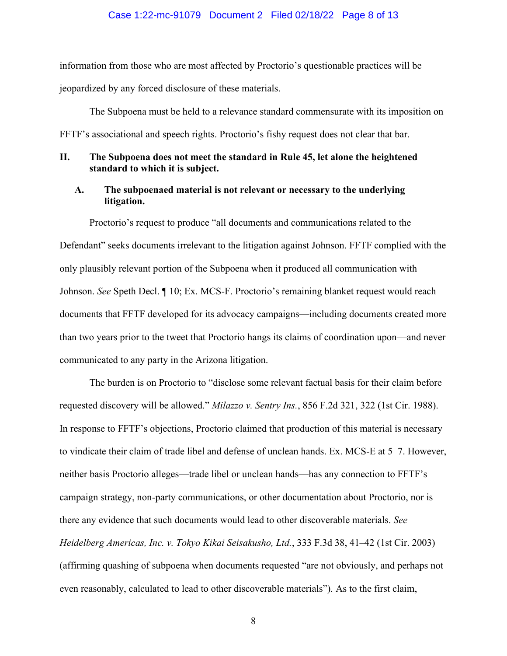#### Case 1:22-mc-91079 Document 2 Filed 02/18/22 Page 8 of 13

information from those who are most affected by Proctorio's questionable practices will be jeopardized by any forced disclosure of these materials.

The Subpoena must be held to a relevance standard commensurate with its imposition on FFTF's associational and speech rights. Proctorio's fishy request does not clear that bar.

# **II. The Subpoena does not meet the standard in Rule 45, let alone the heightened standard to which it is subject.**

# **A. The subpoenaed material is not relevant or necessary to the underlying litigation.**

Proctorio's request to produce "all documents and communications related to the Defendant" seeks documents irrelevant to the litigation against Johnson. FFTF complied with the only plausibly relevant portion of the Subpoena when it produced all communication with Johnson. *See* Speth Decl. *[10; Ex. MCS-F. Proctorio's remaining blanket request would reach* documents that FFTF developed for its advocacy campaigns—including documents created more than two years prior to the tweet that Proctorio hangs its claims of coordination upon—and never communicated to any party in the Arizona litigation.

The burden is on Proctorio to "disclose some relevant factual basis for their claim before requested discovery will be allowed." *Milazzo v. Sentry Ins.*, 856 F.2d 321, 322 (1st Cir. 1988). In response to FFTF's objections, Proctorio claimed that production of this material is necessary to vindicate their claim of trade libel and defense of unclean hands. Ex. MCS-E at 5–7. However, neither basis Proctorio alleges—trade libel or unclean hands—has any connection to FFTF's campaign strategy, non-party communications, or other documentation about Proctorio, nor is there any evidence that such documents would lead to other discoverable materials. *See Heidelberg Americas, Inc. v. Tokyo Kikai Seisakusho, Ltd., 333 F.3d 38, 41–42 (1st Cir. 2003)* (affirming quashing of subpoena when documents requested "are not obviously, and perhaps not even reasonably, calculated to lead to other discoverable materials"). As to the first claim,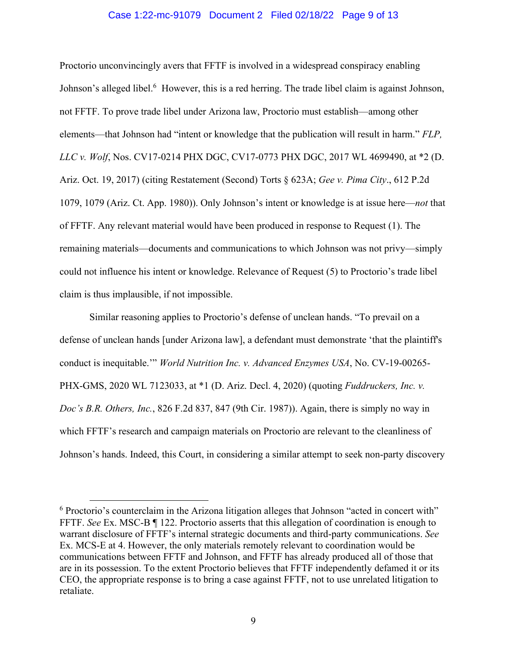## Case 1:22-mc-91079 Document 2 Filed 02/18/22 Page 9 of 13

Proctorio unconvincingly avers that FFTF is involved in a widespread conspiracy enabling Johnson's alleged libel.<sup>6</sup> However, this is a red herring. The trade libel claim is against Johnson, not FFTF. To prove trade libel under Arizona law, Proctorio must establish—among other elements—that Johnson had "intent or knowledge that the publication will result in harm." *FLP*, *LLC v. Wolf*, Nos. CV17-0214 PHX DGC, CV17-0773 PHX DGC, 2017 WL 4699490, at \*2 (D. Ariz. Oct. 19, 2017) (citing Restatement (Second) Torts § 623A; *Gee v. Pima City*., 612 P.2d 1079, 1079 (Ariz. Ct. App. 1980)). Only Johnson's intent or knowledge is at issue here—*not* that of FFTF. Any relevant material would have been produced in response to Request (1). The remaining materials—documents and communications to which Johnson was not privy—simply could not influence his intent or knowledge. Relevance of Request  $(5)$  to Proctorio's trade libel claim is thus implausible, if not impossible.

Similar reasoning applies to Proctorio's defense of unclean hands. "To prevail on a defense of unclean hands [under Arizona law], a defendant must demonstrate 'that the plaintiff's conduct is inequitable."<sup>*World Nutrition Inc. v. Advanced Enzymes USA*, No. CV-19-00265-</sup> PHX-GMS, 2020 WL 7123033, at \*1 (D. Ariz. Decl. 4, 2020) (quoting *Fuddruckers, Inc. v. Doc's B.R. Others, Inc.*, 826 F.2d 837, 847 (9th Cir. 1987)). Again, there is simply no way in which FFTF's research and campaign materials on Proctorio are relevant to the cleanliness of Johnson's hands. Indeed, this Court, in considering a similar attempt to seek non-party discovery

 $6$  Proctorio's counterclaim in the Arizona litigation alleges that Johnson "acted in concert with" FFTF. *See* Ex. MSC-B ¶ 122. Proctorio asserts that this allegation of coordination is enough to warrant disclosure of FFTF's internal strategic documents and third-party communications. *See* Ex. MCS-E at 4. However, the only materials remotely relevant to coordination would be communications between FFTF and Johnson, and FFTF has already produced all of those that are in its possession. To the extent Proctorio believes that FFTF independently defamed it or its CEO, the appropriate response is to bring a case against FFTF, not to use unrelated litigation to retaliate.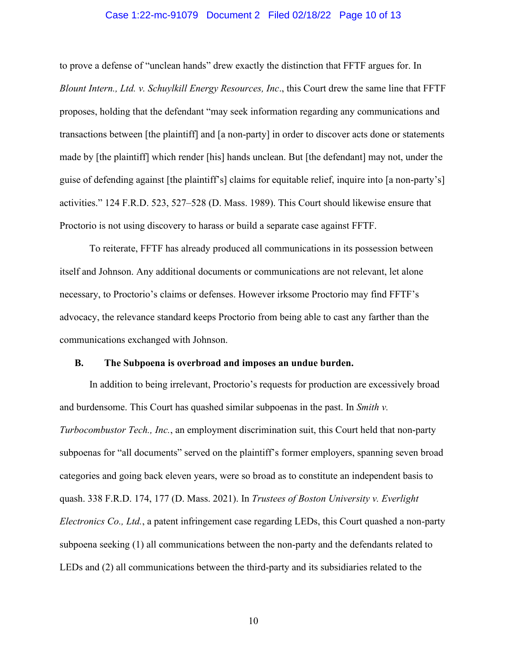## Case 1:22-mc-91079 Document 2 Filed 02/18/22 Page 10 of 13

to prove a defense of "unclean hands" drew exactly the distinction that FFTF argues for. In *Blount Intern., Ltd. v. Schuylkill Energy Resources, Inc*., this Court drew the same line that FFTF proposes, holding that the defendant "may seek information regarding any communications and transactions between [the plaintiff] and [a non-party] in order to discover acts done or statements made by [the plaintiff] which render [his] hands unclean. But [the defendant] may not, under the guise of defending against [the plaintiff's] claims for equitable relief, inquire into [a non-party's] activities."  $124$  F.R.D. 523, 527–528 (D. Mass. 1989). This Court should likewise ensure that Proctorio is not using discovery to harass or build a separate case against FFTF.

To reiterate, FFTF has already produced all communications in its possession between itself and Johnson. Any additional documents or communications are not relevant, let alone necessary, to Proctorio's claims or defenses. However irksome Proctorio may find FFTF's advocacy, the relevance standard keeps Proctorio from being able to cast any farther than the communications exchanged with Johnson.

### **B. The Subpoena is overbroad and imposes an undue burden.**

In addition to being irrelevant, Proctorio's requests for production are excessively broad and burdensome. This Court has quashed similar subpoenas in the past. In *Smith v. Turbocombustor Tech., Inc.*, an employment discrimination suit, this Court held that non-party subpoenas for "all documents" served on the plaintiff's former employers, spanning seven broad categories and going back eleven years, were so broad as to constitute an independent basis to quash. 338 F.R.D. 174, 177 (D. Mass. 2021). In *Trustees of Boston University v. Everlight Electronics Co., Ltd.*, a patent infringement case regarding LEDs, this Court quashed a non-party subpoena seeking (1) all communications between the non-party and the defendants related to LEDs and (2) all communications between the third-party and its subsidiaries related to the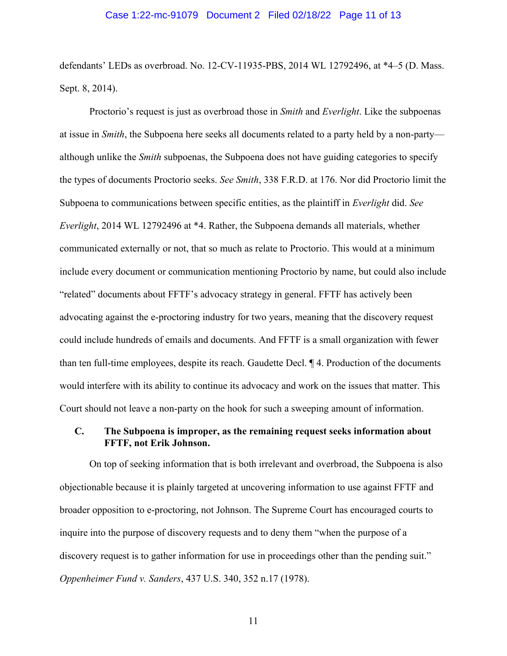## Case 1:22-mc-91079 Document 2 Filed 02/18/22 Page 11 of 13

defendants' LEDs as overbroad. No. 12-CV-11935-PBS, 2014 WL 12792496, at  $*4-5$  (D. Mass. Sept. 8, 2014).

Proctorio's request is just as overbroad those in *Smith* and *Everlight*. Like the subpoenas at issue in *Smith*, the Subpoena here seeks all documents related to a party held by a non-party although unlike the *Smith* subpoenas, the Subpoena does not have guiding categories to specify the types of documents Proctorio seeks. *See Smith*, 338 F.R.D. at 176. Nor did Proctorio limit the Subpoena to communications between specific entities, as the plaintiff in *Everlight* did. *See Everlight*, 2014 WL 12792496 at \*4. Rather, the Subpoena demands all materials, whether communicated externally or not, that so much as relate to Proctorio. This would at a minimum include every document or communication mentioning Proctorio by name, but could also include "related" documents about FFTF's advocacy strategy in general. FFTF has actively been advocating against the e-proctoring industry for two years, meaning that the discovery request could include hundreds of emails and documents. And FFTF is a small organization with fewer than ten full-time employees, despite its reach. Gaudette Decl. ¶ 4. Production of the documents would interfere with its ability to continue its advocacy and work on the issues that matter. This Court should not leave a non-party on the hook for such a sweeping amount of information.

# **C. The Subpoena is improper, as the remaining request seeks information about FFTF, not Erik Johnson.**

On top of seeking information that is both irrelevant and overbroad, the Subpoena is also objectionable because it is plainly targeted at uncovering information to use against FFTF and broader opposition to e-proctoring, not Johnson. The Supreme Court has encouraged courts to inquire into the purpose of discovery requests and to deny them "when the purpose of a discovery request is to gather information for use in proceedings other than the pending suit." *Oppenheimer Fund v. Sanders*, 437 U.S. 340, 352 n.17 (1978).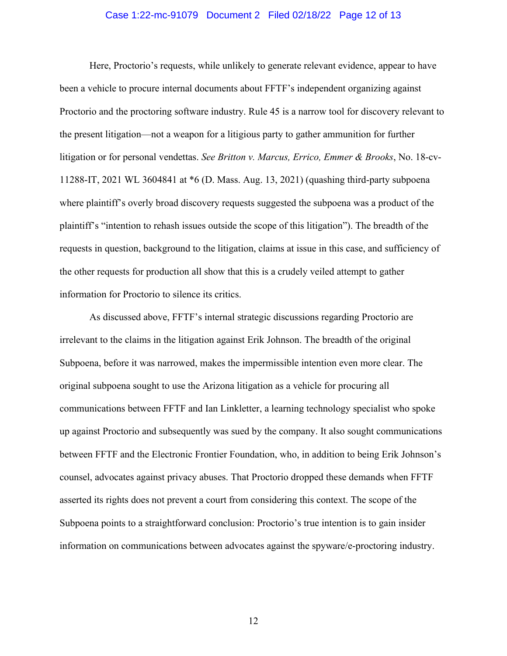## Case 1:22-mc-91079 Document 2 Filed 02/18/22 Page 12 of 13

Here, Proctorio's requests, while unlikely to generate relevant evidence, appear to have been a vehicle to procure internal documents about FFTF's independent organizing against Proctorio and the proctoring software industry. Rule 45 is a narrow tool for discovery relevant to the present litigation—not a weapon for a litigious party to gather ammunition for further litigation or for personal vendettas. *See Britton v. Marcus, Errico, Emmer & Brooks*, No. 18-cv-11288-IT, 2021 WL 3604841 at \*6 (D. Mass. Aug. 13, 2021) (quashing third-party subpoena where plaintiff's overly broad discovery requests suggested the subpoena was a product of the plaintiff's "intention to rehash issues outside the scope of this litigation"). The breadth of the requests in question, background to the litigation, claims at issue in this case, and sufficiency of the other requests for production all show that this is a crudely veiled attempt to gather information for Proctorio to silence its critics.

As discussed above, FFTF's internal strategic discussions regarding Proctorio are irrelevant to the claims in the litigation against Erik Johnson. The breadth of the original Subpoena, before it was narrowed, makes the impermissible intention even more clear. The original subpoena sought to use the Arizona litigation as a vehicle for procuring all communications between FFTF and Ian Linkletter, a learning technology specialist who spoke up against Proctorio and subsequently was sued by the company. It also sought communications between FFTF and the Electronic Frontier Foundation, who, in addition to being Erik Johnson's counsel, advocates against privacy abuses. That Proctorio dropped these demands when FFTF asserted its rights does not prevent a court from considering this context. The scope of the Subpoena points to a straightforward conclusion: Proctorio's true intention is to gain insider information on communications between advocates against the spyware/e-proctoring industry.